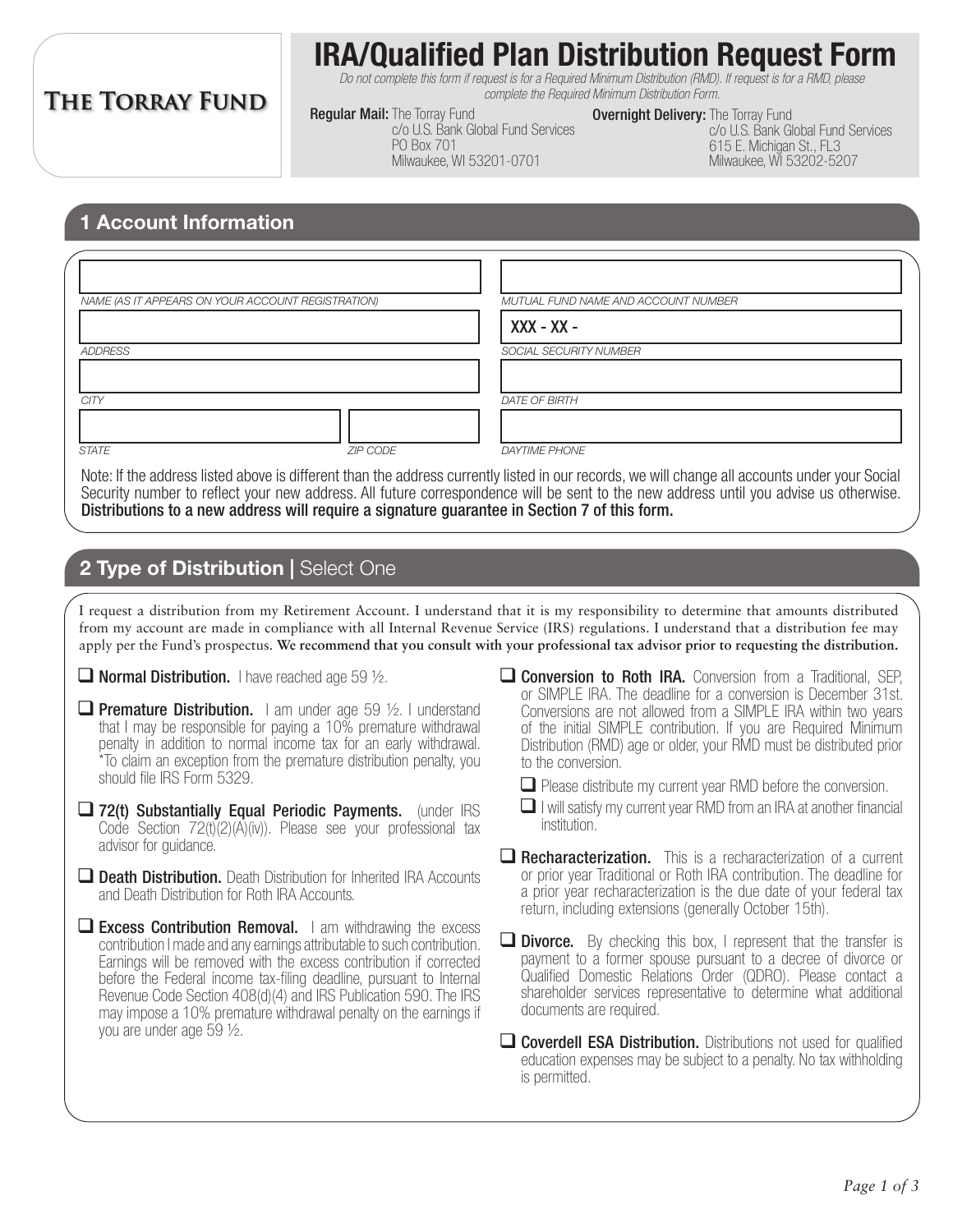# **THE TORRAY FUND**

# **IRA/Qualified Plan Distribution Request Form**

*Do not complete this form if request is for a Required Minimum Distribution (RMD). If request is for a RMD, please complete the Required Minimum Distribution Form.*

**Regular Mail: The Torray Fund** c/o U.S. Bank Global Fund Services PO Box 701 Milwaukee, WI 53201-0701

**Overnight Delivery:** The Torray Fund c/o U.S. Bank Global Fund Services 615 E. Michigan St., FL3 Milwaukee, WI 53202-5207

#### **1 Account Information**

| NAME (AS IT APPEARS ON YOUR ACCOUNT REGISTRATION) |                 | MUTUAL FUND NAME AND ACCOUNT NUMBER |  |
|---------------------------------------------------|-----------------|-------------------------------------|--|
|                                                   |                 | $XXX - XX -$                        |  |
| ADDRESS                                           |                 | SOCIAL SECURITY NUMBER              |  |
|                                                   |                 |                                     |  |
| <b>CITY</b>                                       |                 | <b>DATE OF BIRTH</b>                |  |
|                                                   |                 |                                     |  |
| <b>STATE</b>                                      | <b>ZIP CODE</b> | <b>DAYTIME PHONE</b>                |  |

Note: If the address listed above is different than the address currently listed in our records, we will change all accounts under your Social Security number to reflect your new address. All future correspondence will be sent to the new address until you advise us otherwise. Distributions to a new address will require a signature guarantee in Section 7 of this form.

### **2 Type of Distribution | Select One**

I request a distribution from my Retirement Account. I understand that it is my responsibility to determine that amounts distributed from my account are made in compliance with all Internal Revenue Service (IRS) regulations. I understand that a distribution fee may apply per the Fund's prospectus. **We recommend that you consult with your professional tax advisor prior to requesting the distribution.**

- $\Box$  Normal Distribution. I have reached age 59  $\frac{1}{2}$ .
- **Q Premature Distribution.** I am under age 59  $\frac{1}{2}$ . I understand that I may be responsible for paying a 10% premature withdrawal penalty in addition to normal income tax for an early withdrawal. \*To claim an exception from the premature distribution penalty, you should file IRS Form 5329.
- $\Box$  72(t) Substantially Equal Periodic Payments. (under IRS Code Section 72(t)(2)(A)(iv)). Please see your professional tax advisor for guidance.
- **Death Distribution.** Death Distribution for Inherited IRA Accounts and Death Distribution for Roth IRA Accounts.
- $\Box$  Excess Contribution Removal. I am withdrawing the excess contribution I made and any earnings attributable to such contribution. Earnings will be removed with the excess contribution if corrected before the Federal income tax-filing deadline, pursuant to Internal Revenue Code Section 408(d)(4) and IRS Publication 590. The IRS may impose a 10% premature withdrawal penalty on the earnings if you are under age 59 ½.
- $\Box$  Conversion to Roth IRA. Conversion from a Traditional, SEP, or SIMPLE IRA. The deadline for a conversion is December 31st. Conversions are not allowed from a SIMPLE IRA within two years of the initial SIMPLE contribution. If you are Required Minimum Distribution (RMD) age or older, your RMD must be distributed prior to the conversion.
	- $\Box$  Please distribute my current year RMD before the conversion.
	- $\Box$  I will satisfy my current year RMD from an IRA at another financial institution.
- $\Box$  **Recharacterization.** This is a recharacterization of a current or prior year Traditional or Roth IRA contribution. The deadline for a prior year recharacterization is the due date of your federal tax return, including extensions (generally October 15th).
- $\Box$  **Divorce.** By checking this box, I represent that the transfer is payment to a former spouse pursuant to a decree of divorce or Qualified Domestic Relations Order (QDRO). Please contact a shareholder services representative to determine what additional documents are required.
- **Q Coverdell ESA Distribution.** Distributions not used for qualified education expenses may be subject to a penalty. No tax withholding is permitted.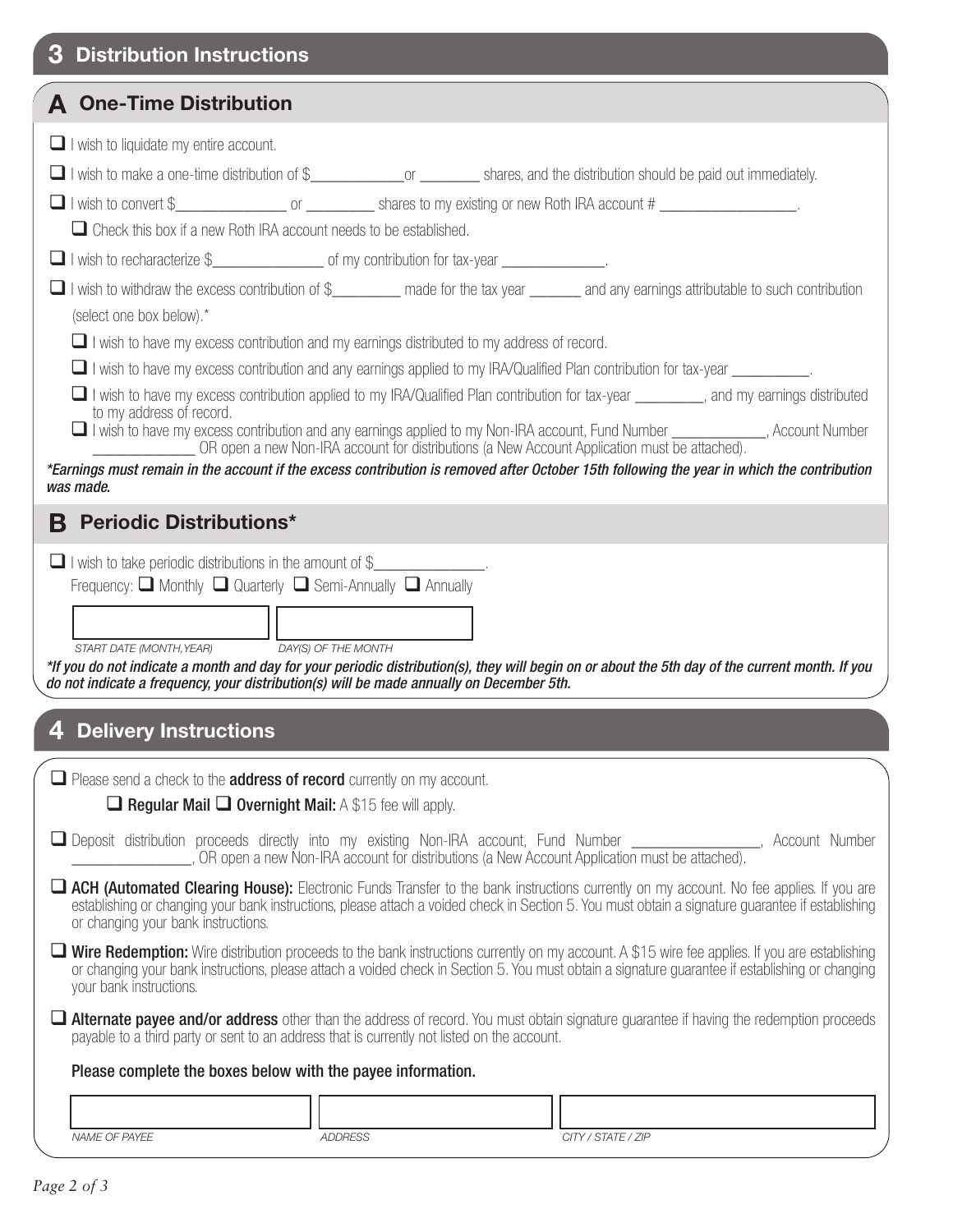| З                                                                                                                                                                                                                                                                                                                                                                                                                                                                    | <b>Distribution Instructions</b>                                                                                                                                                                                                                                                                                                                                                                                                                                                                                                                                                                                                                                                       |  |  |  |  |
|----------------------------------------------------------------------------------------------------------------------------------------------------------------------------------------------------------------------------------------------------------------------------------------------------------------------------------------------------------------------------------------------------------------------------------------------------------------------|----------------------------------------------------------------------------------------------------------------------------------------------------------------------------------------------------------------------------------------------------------------------------------------------------------------------------------------------------------------------------------------------------------------------------------------------------------------------------------------------------------------------------------------------------------------------------------------------------------------------------------------------------------------------------------------|--|--|--|--|
|                                                                                                                                                                                                                                                                                                                                                                                                                                                                      | <b>A</b> One-Time Distribution                                                                                                                                                                                                                                                                                                                                                                                                                                                                                                                                                                                                                                                         |  |  |  |  |
|                                                                                                                                                                                                                                                                                                                                                                                                                                                                      | $\Box$ I wish to liquidate my entire account.<br>□ I wish to make a one-time distribution of \$<br><u> or</u> <u>netion shares</u> , and the distribution should be paid out immediately.                                                                                                                                                                                                                                                                                                                                                                                                                                                                                              |  |  |  |  |
|                                                                                                                                                                                                                                                                                                                                                                                                                                                                      | □ I wish to convert \$<br><u> shares</u> to my existing or new Roth IRA account #<br>$\Box$ Check this box if a new Roth IRA account needs to be established.                                                                                                                                                                                                                                                                                                                                                                                                                                                                                                                          |  |  |  |  |
|                                                                                                                                                                                                                                                                                                                                                                                                                                                                      | I wish to withdraw the excess contribution of \$________ made for the tax year ______ and any earnings attributable to such contribution<br>(select one box below).*<br>$\Box$ I wish to have my excess contribution and my earnings distributed to my address of record.                                                                                                                                                                                                                                                                                                                                                                                                              |  |  |  |  |
|                                                                                                                                                                                                                                                                                                                                                                                                                                                                      | $\Box$ I wish to have my excess contribution and any earnings applied to my IRA/Qualified Plan contribution for tax-year $\Box$<br>■ I wish to have my excess contribution applied to my IRA/Qualified Plan contribution for tax-year _______, and my earnings distributed<br>to my address of record.<br>I wish to have my excess contribution and any earnings applied to my Non-IRA account, Fund Number ___________, Account Number __________________________OR open a new Non-IRA account for distributions (a New Account Applica<br>*Earnings must remain in the account if the excess contribution is removed after October 15th following the year in which the contribution |  |  |  |  |
| В                                                                                                                                                                                                                                                                                                                                                                                                                                                                    | was made.<br><b>Periodic Distributions*</b>                                                                                                                                                                                                                                                                                                                                                                                                                                                                                                                                                                                                                                            |  |  |  |  |
| $\Box$ I wish to take periodic distributions in the amount of \$______________.<br>Frequency: $\Box$ Monthly $\Box$ Quarterly $\Box$ Semi-Annually $\Box$ Annually<br>START DATE (MONTH, YEAR)<br>DAY(S) OF THE MONTH<br>*If you do not indicate a month and day for your periodic distribution(s), they will begin on or about the 5th day of the current month. If you<br>do not indicate a frequency, your distribution(s) will be made annually on December 5th. |                                                                                                                                                                                                                                                                                                                                                                                                                                                                                                                                                                                                                                                                                        |  |  |  |  |
| 4                                                                                                                                                                                                                                                                                                                                                                                                                                                                    | <b>Delivery Instructions</b>                                                                                                                                                                                                                                                                                                                                                                                                                                                                                                                                                                                                                                                           |  |  |  |  |
|                                                                                                                                                                                                                                                                                                                                                                                                                                                                      | $\Box$ Please send a check to the <b>address of record</b> currently on my account.<br>$\Box$ Regular Mail $\Box$ Overnight Mail: A \$15 fee will apply.                                                                                                                                                                                                                                                                                                                                                                                                                                                                                                                               |  |  |  |  |
|                                                                                                                                                                                                                                                                                                                                                                                                                                                                      | Deposit distribution proceeds directly into my existing Non-IRA account, Fund Number ______________, Account Number<br>_, OR open a new Non-IRA account for distributions (a New Account Application must be attached).                                                                                                                                                                                                                                                                                                                                                                                                                                                                |  |  |  |  |
|                                                                                                                                                                                                                                                                                                                                                                                                                                                                      | ACH (Automated Clearing House): Electronic Funds Transfer to the bank instructions currently on my account. No fee applies. If you are<br>establishing or changing your bank instructions, please attach a voided check in Section 5. You must obtain a signature quarantee if establishing<br>or changing your bank instructions.                                                                                                                                                                                                                                                                                                                                                     |  |  |  |  |
|                                                                                                                                                                                                                                                                                                                                                                                                                                                                      | <b>Wire Redemption:</b> Wire distribution proceeds to the bank instructions currently on my account. A \$15 wire fee applies. If you are establishing<br>or changing your bank instructions, please attach a voided check in Section 5. You must obtain a signature guarantee if establishing or changing<br>your bank instructions.                                                                                                                                                                                                                                                                                                                                                   |  |  |  |  |
|                                                                                                                                                                                                                                                                                                                                                                                                                                                                      | Alternate payee and/or address other than the address of record. You must obtain signature guarantee if having the redemption proceeds<br>payable to a third party or sent to an address that is currently not listed on the account.                                                                                                                                                                                                                                                                                                                                                                                                                                                  |  |  |  |  |
|                                                                                                                                                                                                                                                                                                                                                                                                                                                                      | Please complete the boxes below with the payee information.                                                                                                                                                                                                                                                                                                                                                                                                                                                                                                                                                                                                                            |  |  |  |  |
|                                                                                                                                                                                                                                                                                                                                                                                                                                                                      |                                                                                                                                                                                                                                                                                                                                                                                                                                                                                                                                                                                                                                                                                        |  |  |  |  |
|                                                                                                                                                                                                                                                                                                                                                                                                                                                                      | NAME OF PAYEE<br><b>ADDRESS</b><br>CITY / STATE / ZIP                                                                                                                                                                                                                                                                                                                                                                                                                                                                                                                                                                                                                                  |  |  |  |  |